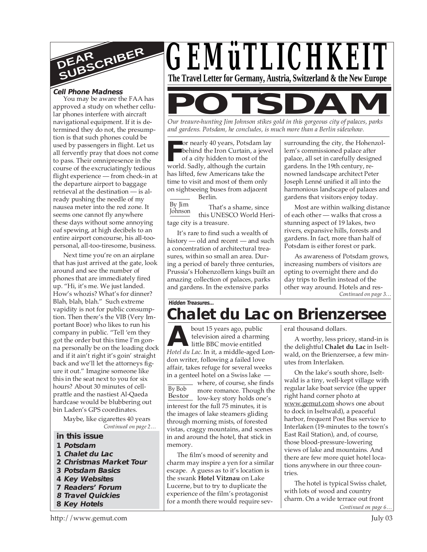

# **Cell Phone Madness**

You may be aware the FAA has approved a study on whether cellular phones interfere with aircraft navigational equipment. If it is determined they do not, the presumption is that such phones could be used by passengers in flight. Let us all fervently pray that does not come to pass. Their omnipresence in the course of the excruciatingly tedious flight experience — from check-in at the departure airport to baggage retrieval at the destination — is already pushing the needle of my nausea meter into the red zone. It seems one cannot fly anywhere these days without some annoying oaf spewing, at high decibels to an entire airport concourse, his all-toopersonal, all-too-tiresome, business.

Next time you're on an airplane that has just arrived at the gate, look around and see the number of phones that are immediately fired up. "Hi, it's me. We just landed. How's whozis? What's for dinner? Blah, blah, blah." Such extreme vapidity is not for public consumption. Then there's the VIB (Very Important Boor) who likes to run his company in public. "Tell 'em they got the order but this time I'm gonna personally be on the loading dock and if it ain't right it's goin' straight back and we'll let the attorneys figure it out." Imagine someone like this in the seat next to you for six hours? About 30 minutes of cellprattle and the nastiest Al-Qaeda hardcase would be blubbering out bin Laden's GPS coordinates.

*Continued on page 2…* Maybe, like cigarettes 40 years

- **in this issue**
- **1 Potsdam**
- **1 Chalet du Lac**
- **2 Christmas Market Tour**
- **3 Potsdam Basics**
- **4 Key Websites**
- **7 Readers' Forum**
- **8 Travel Quickies**
- **8 Key Hotels**





*and gardens. Potsdam, he concludes, is much more than a Berlin sidewhow.*

**F** or nearly 40 years, Potsdam l.<br>behind the Iron Curtain, a jev of a city hidden to most of the world. Sadly, although the curtain or nearly 40 years, Potsdam lay behind the Iron Curtain, a jewel of a city hidden to most of the has lifted, few Americans take the time to visit and most of them only on sightseeing buses from adjacent Berlin.

By Jim Johnson That's a shame, since this UNESCO World Heritage city is a treasure.

It's rare to find such a wealth of history — old and recent — and such a concentration of architectural treasures, within so small an area. During a period of barely three centuries, Prussia's Hohenzollern kings built an amazing collection of palaces, parks and gardens. In the extensive parks

surrounding the city, the Hohenzollern's commissioned palace after palace, all set in carefully designed gardens. In the 19th century, renowned landscape architect Peter Joseph Lenné unified it all into the harmonious landscape of palaces and gardens that visitors enjoy today.

Most are within walking distance of each other — walks that cross a stunning aspect of 19 lakes, two rivers, expansive hills, forests and gardens. In fact, more than half of Potsdam is either forest or park.

*Continued on page 3…* As awareness of Potsdam grows, increasing numbers of visitors are opting to overnight there and do day trips to Berlin instead of the other way around. Hotels and res-

# **Hidden Treasures...**

# **Chalet du Lac on Brienzersee**

**A**<br> **A** bout 15 years ago, public<br>
television aired a charming<br>
Hotel du Lac. In it, a middle-aged Lonbout 15 years ago, public television aired a charming little BBC movie entitled don writer, following a failed love affair, takes refuge for several weeks in a genteel hotel on a Swiss lake -

where, of course, she finds more romance. Though the Bestor low-key story holds one's interest for the full 75 minutes, it is the images of lake steamers gliding through morning mists, of forested vistas, craggy mountains, and scenes in and around the hotel, that stick in memory. By Bob

The film's mood of serenity and charm may inspire a yen for a similar escape. A guess as to it's location is the swank **Hotel Vitznau** on Lake Lucerne, but to try to duplicate the experience of the film's protagonist for a month there would require several thousand dollars.

A worthy, less pricey, stand-in is the delightful **Chalet du Lac** in Iseltwald, on the Brienzersee, a few minutes from Interlaken.

On the lake's south shore, Iseltwald is a tiny, well-kept village with regular lake boat service (the upper right hand corner photo at www.gemut.com shows one about to dock in Iseltwald), a peaceful harbor, frequent Post Bus service to Interlaken (19-minutes to the town's East Rail Station), and, of course, those blood-pressure-lowering views of lake and mountains. And there are few more quiet hotel locations anywhere in our three countries.

*Continued on page 6…* The hotel is typical Swiss chalet, with lots of wood and country charm. On a wide terrace out front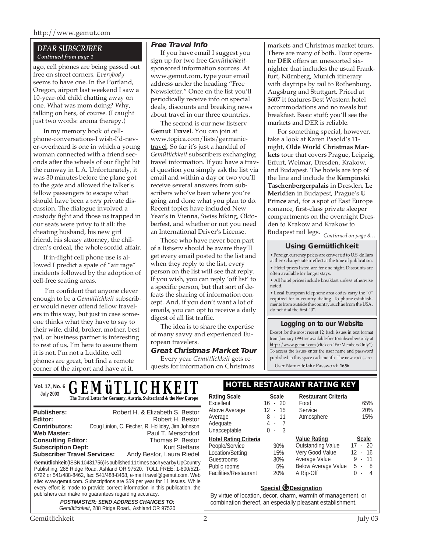#### http://www.gemut.com

## *DEAR SUBSCRIBER Continued from page 1*

ago, cell phones are being passed out free on street corners. *Everybody* seems to have one. In the Portland, Oregon, airport last weekend I saw a 10-year-old child chatting away on one. What was mom doing? Why, talking on hers, of course. (I caught just two words: aroma therapy.)

In my memory book of cellphone-conversations-I wish-I'd-never-overheard is one in which a young woman connected with a friend seconds after the wheels of our flight hit the runway in L.A. Unfortunately, it was 30 minutes before the plane got to the gate and allowed the talker's fellow passengers to escape what should have been a *very* private discussion. The dialogue involved a custody fight and those us trapped in our seats were privy to it all: the cheating husband, his new girl friend, his sleazy attorney, the children's ordeal, the whole sordid affair.

If in-flight cell phone use is allowed I predict a spate of "air rage" incidents followed by the adoption of cell-free seating areas.

 I'm confident that anyone clever enough to be a *Gemütlichkeit* subscriber would never offend fellow travelers in this way, but just in case someone thinks what they have to say to their wife, child, broker, mother, best pal, or business partner is interesting to rest of us, I'm here to assure them it is not. I'm not a Luddite, cell phones are great, but find a remote corner of the airport and have at it.

#### **Free Travel Info**

If you have email I suggest you sign up for two free *Gemütlichkeit*sponsored information sources. At www.gemut.com, type your email address under the heading "Free Newsletter." Once on the list you'll periodically receive info on special deals, discounts and breaking news about travel in our three countries.

The second is our new listserv **Gemut Travel**. You can join at www.topica.com/lists/germanictravel. So far it's just a handful of *Gemütlichkeit* subscribers exchanging travel information. If you have a travel question you simply ask the list via email and within a day or two you'll receive several answers from subscribers who've been where you're going and done what you plan to do. Recent topics have included New Year's in Vienna, Swiss hiking, Oktoberfest, and whether or not you need an International Driver's License.

Those who have never been part of a listserv should be aware they'll get every email posted to the list and when they reply to the list, every person on the list will see that reply. If you wish, you can reply 'off list' to a specific person, but that sort of defeats the sharing of information concept. And, if you don't want a lot of emails, you can opt to receive a daily digest of all list traffic.

The idea is to share the expertise of many savvy and experienced European travelers.

#### **Great Christmas Market Tour**

Every year *Gemütlichkeit* gets requests for information on Christmas markets and Christmas market tours. There are many of both. Tour operator **DER** offers an unescorted sixnighter that includes the usual Frankfurt, Nürnberg, Munich itinerary with daytrips by rail to Rothenburg, Augsburg and Stuttgart. Priced at \$607 it features Best Western hotel accommodations and no meals but breakfast. Basic stuff; you'll see the markets and DER is reliable.

For something special, however, take a look at Karen Pasold's 11 night, **Olde World Christmas Markets** tour that covers Prague, Leipzig, Erfurt, Weimar, Dresden, Krakow, and Budapest. The hotels are top of the line and include the **Kempinski Taschenbergerpalais** in Dresden, **Le Meridien** in Budapest, Prague's **U Prince** and, for a spot of East Europe romance, first-class private sleeper compartments on the overnight Dresden to Krakow and Krakow to

*Continued on page 8…* Budapest rail legs.

# **Using Gemütlichkeit**

• Foreign currency prices are converted to U.S. dollars at the exchange rate in effect at the time of publication. • Hotel prices listed are for one night. Discounts are often available for longer stays.

• All hotel prices include breakfast unless otherwise noted.

• Local European telephone area codes carry the "0" required for in-country dialing. To phone establishments from outside the country, such as from the USA, do not dial the first "0".

#### **Logging on to our Website**

Except for the most recent 12, back issues in text format from January 1993 are available free to subscribers only at http://www.gemut.com (click on "For Members Only"). To access the issues enter the user name and password published in this space each month. The new codes are:

User Name: **telahc** Password: **1656**

| Vol. 17, No. 6 <b>GEMÜTLICHKEIT</b>                                                                                                                                                                                                      |                                                                                                                                                                                                                                                                                                                                                                                  | <b>HOTEL RESTAURANT RATING KEY</b>                                                                                                                                 |                                         |                                                                                                                                |                                                                                                 |
|------------------------------------------------------------------------------------------------------------------------------------------------------------------------------------------------------------------------------------------|----------------------------------------------------------------------------------------------------------------------------------------------------------------------------------------------------------------------------------------------------------------------------------------------------------------------------------------------------------------------------------|--------------------------------------------------------------------------------------------------------------------------------------------------------------------|-----------------------------------------|--------------------------------------------------------------------------------------------------------------------------------|-------------------------------------------------------------------------------------------------|
| <b>July 2003</b>                                                                                                                                                                                                                         | The Travel Letter for Germany, Austria, Switzerland & the New Europe                                                                                                                                                                                                                                                                                                             | <b>Rating Scale</b><br>Excellent<br>Above Average                                                                                                                  | <b>Scale</b><br>$16 - 20$<br>12<br>- 15 | <b>Restaurant Criteria</b><br>Food<br>Service                                                                                  | 65%<br>20%                                                                                      |
| <b>Publishers:</b><br>Editor:<br><b>Contributors:</b><br><b>Web Master:</b>                                                                                                                                                              | Robert H. & Elizabeth S. Bestor<br>Robert H. Bestor<br>Doug Linton, C. Fischer, R. Holliday, Jim Johnson<br>Paul T. Merschdorf                                                                                                                                                                                                                                                   | Average<br>Adequate<br>Unacceptable                                                                                                                                | 8 -<br>11<br>4 -<br>0<br>- 3<br>$\sim$  | Atmosphere                                                                                                                     | 15%                                                                                             |
| <b>Consulting Editor:</b><br><b>Subscription Dept:</b><br><b>Subscriber Travel Services:</b>                                                                                                                                             | Thomas P. Bestor<br><b>Kurt Steffans</b><br>Andy Bestor, Laura Riedel<br>Gemütlichkeit (ISSN 10431756) is published 11 times each year by UpCountry<br>Publishing, 288 Ridge Road, Ashland OR 97520. TOLL FREE: 1-800/521-<br>6722 or 541/488-8462, fax: 541/488-8468, e-mail travel@gemut.com. Web<br>site: www.gemut.com. Subscriptions are \$59 per year for 11 issues. While | <b>Hotel Rating Criteria</b><br>People/Service<br>Location/Setting<br>Guestrooms<br>Public rooms<br>Facilities/Restaurant                                          | 30%<br>15%<br>30%<br>5%<br>20%          | <b>Value Rating</b><br><b>Outstanding Value</b><br>Very Good Value<br>Average Value<br><b>Below Average Value</b><br>A Rip-Off | <b>Scale</b><br>$17 - 20$<br>$12 - 16$<br>$9 - 11$<br>$5 - 8$<br><sup>n</sup><br>$\overline{4}$ |
| every effort is made to provide correct information in this publication, the<br>publishers can make no guarantees regarding accuracy.<br><b>POSTMASTER: SEND ADDRESS CHANGES TO:</b><br>Gemütlichkeit, 288 Ridge Road., Ashland OR 97520 |                                                                                                                                                                                                                                                                                                                                                                                  | <b>Special <i>O</i></b> Designation<br>By virtue of location, decor, charm, warmth of management, or<br>combination thereof, an especially pleasant establishment. |                                         |                                                                                                                                |                                                                                                 |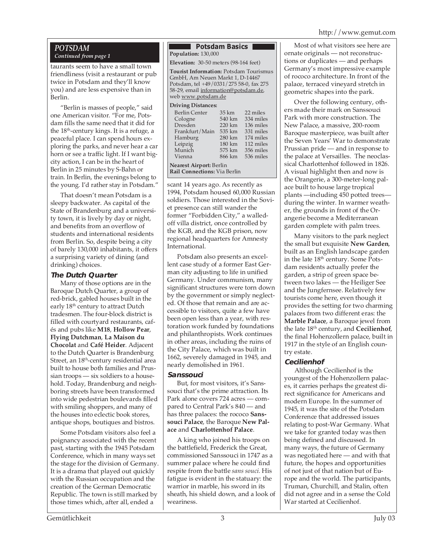# *POTSDAM Continued from page 1*

taurants seem to have a small town friendliness (visit a restaurant or pub twice in Potsdam and they'll know you) and are less expensive than in Berlin.

"Berlin is masses of people," said one American visitor. "For me, Potsdam fills the same need that it did for the 18<sup>th</sup>-century kings. It is a refuge, a peaceful place. I can spend hours exploring the parks, and never hear a car horn or see a traffic light. If I want bigcity action, I can be in the heart of Berlin in 25 minutes by S-Bahn or train. In Berlin, the evenings belong to the young. I'd rather stay in Potsdam."

That doesn't mean Potsdam is a sleepy backwater. As capital of the State of Brandenburg and a university town, it is lively by day or night, and benefits from an overflow of students and international residents from Berlin. So, despite being a city of barely 130,000 inhabitants, it offers a surprising variety of dining (and drinking) choices.

# **The Dutch Quarter**

Many of those options are in the Baroque Dutch Quarter, a group of red-brick, gabled houses built in the early 18<sup>th</sup> century to attract Dutch tradesmen. The four-block district is filled with courtyard restaurants, cafés and pubs like **M18**, **Hollow Pear**, **Flying Dutchman**, **La Maison du Chocolat** and **Café Heider**. Adjacent to the Dutch Quarter is Brandenburg Street, an 18<sup>th</sup>-century residential area built to house both families and Prussian troops — six soldiers to a household. Today, Brandenburg and neighboring streets have been transformed into wide pedestrian boulevards filled with smiling shoppers, and many of the houses into eclectic book stores, antique shops, boutiques and bistros.

Some Potsdam visitors also feel a poignancy associated with the recent past, starting with the 1945 Potsdam Conference, which in many ways set the stage for the division of Germany. It is a drama that played out quickly with the Russian occupation and the creation of the German Democratic Republic. The town is still marked by those times which, after all, ended a

#### **Potsdam Basics Population:** 130,000

**Elevation:** 30-50 meters (98-164 feet)

**Tourist Information:** Potsdam Tourismus GmbH, Am Neuen Markt 1, D-14467 Potsdam, tel +49/0331/275 58-0, fax 275 58-29, email information@potsdam.de, web www.potsdam.de

#### **Driving Distances:**

| <b>Berlin Center</b><br>Cologne<br>Dresden<br>Frankfurt/Main<br>Hamburg<br>Leipzig<br>Munich<br>Vienna | 35 km<br>540 km<br>220 km<br>535 km<br>280 km<br>180 km<br>575 km | 22 miles<br>334 miles<br>136 miles<br>331 miles<br>174 miles<br>112 miles<br>356 miles |
|--------------------------------------------------------------------------------------------------------|-------------------------------------------------------------------|----------------------------------------------------------------------------------------|
|                                                                                                        | 866 km                                                            | 536 miles                                                                              |
|                                                                                                        |                                                                   |                                                                                        |

**Nearest Airport:** Berlin **Rail Connections:** Via Berlin

scant 14 years ago. As recently as 1994, Potsdam housed 60,000 Russian soldiers. Those interested in the Soviet presence can still wander the former "Forbidden City," a walledoff villa district, once controlled by the KGB, and the KGB prison, now regional headquarters for Amnesty International.

Potsdam also presents an excellent case study of a former East German city adjusting to life in unified Germany. Under communism, many significant structures were torn down by the government or simply neglected. Of those that remain and are accessible to visitors, quite a few have been open less than a year, with restoration work funded by foundations and philanthropists. Work continues in other areas, including the ruins of the City Palace, which was built in 1662, severely damaged in 1945, and nearly demolished in 1961.

# **Sanssouci**

But, for most visitors, it's Sanssouci that's the prime attraction. Its Park alone covers 724 acres — compared to Central Park's 840 — and has three palaces: the rococo **Sanssouci Palace**, the Baroque **New Palace** and **Charlottenhof Palace**.

A king who joined his troops on the battlefield, Frederick the Great, commissioned Sanssouci in 1747 as a summer palace where he could find respite from the battle *sans souci.* His fatigue is evident in the statuary: the warrior in marble, his sword in its sheath, his shield down, and a look of weariness.

Most of what visitors see here are ornate originals — not reconstructions or duplicates — and perhaps Germany's most impressive example of rococo architecture. In front of the palace, terraced vineyard stretch in geometric shapes into the park.

Over the following century, others made their mark on Sanssouci Park with more construction. The New Palace, a massive, 200-room Baroque masterpiece, was built after the Seven Years' War to demonstrate Prussian pride — and in response to the palace at Versailles. The neoclassical Charlottenhof followed in 1826. A visual highlight then and now is the Orangerie, a 300-meter-long palace built to house large tropical plants —including 450 potted trees during the winter. In warmer weather, the grounds in front of the Orangerie become a Mediterranean garden complete with palm trees.

Many visitors to the park neglect the small but exquisite **New Garden**, built as an English landscape garden in the late  $18<sup>th</sup>$  century. Some Potsdam residents actually prefer the garden, a strip of green space between two lakes — the Heiliger See and the Jungfernsee. Relatively few tourists come here, even though it provides the setting for two charming palaces from two different eras: the **Marble Palace**, a Baroque jewel from the late 18th century, and **Cecilienhof**, the final Hohenzollern palace, built in 1917 in the style of an English country estate.

# **Cecilienhof**

Although Cecilienhof is the youngest of the Hohenzollern palaces, it carries perhaps the greatest direct significance for Americans and modern Europe. In the summer of 1945, it was the site of the Potsdam Conference that addressed issues relating to post-War Germany. What we take for granted today was then being defined and discussed. In many ways, the future of Germany was negotiated here — and with that future, the hopes and opportunities of not just of that nation but of Europe and the world. The participants, Truman, Churchill, and Stalin, often did not agree and in a sense the Cold War started at Cecilienhof.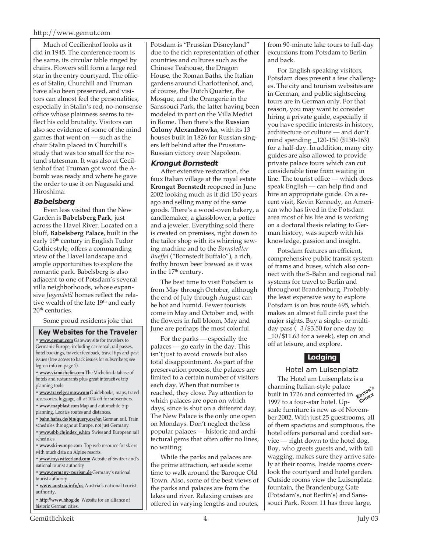#### http://www.gemut.com

Much of Cecilienhof looks as it did in 1945. The conference room is the same, its circular table ringed by chairs. Flowers still form a large red star in the entry courtyard. The offices of Stalin, Churchill and Truman have also been preserved, and visitors can almost feel the personalities, especially in Stalin's red, no-nonsense office whose plainness seems to reflect his cold brutality. Visitors can also see evidence of some of the mind games that went on — such as the chair Stalin placed in Churchill's study that was too small for the rotund statesman. It was also at Cecilienhof that Truman got word the Abomb was ready and where he gave the order to use it on Nagasaki and Hiroshima.

### **Babelsberg**

Even less visited than the New Garden is **Babelsberg Park**, just across the Havel River. Located on a bluff, **Babelsberg Palace**, built in the early 19<sup>th</sup> century in English Tudor Gothic style, offers a commanding view of the Havel landscape and ample opportunities to explore the romantic park. Babelsberg is also adjacent to one of Potsdam's several villa neighborhoods, whose expansive *Jugendstil* homes reflect the relative wealth of the late 19<sup>th</sup> and early 20<sup>th</sup> centuries.

Some proud residents joke that

#### **Key Websites for the Traveler**

**• www.gemut.com** Gateway site for travelers to Germanic Europe, including car rental, rail passes, hotel bookings, traveler feedback, travel tips and past issues (free access to back issues for subscribers; see log-on info on page 2).

**• www.viamichelin.com** The Michelin database of hotels and restaurants plus great interactive trip planning tools.

**• www.travelgearnow.com** Guidebooks, maps, travel accessories, luggage, all at 10% off for subscribers.

- **www.mapblast.com** Map and automobile trip planning. Locates routes and distances.
- **bahn.hafas.de/bin/query.exe/en** German rail. Train
- schedules throughout Europe, not just Germany.
- **www.sbb.ch/index\_e.htm** Swiss and European rail schedules.
- **www.ski-europe.com** Top web resource for skiers with much data on Alpine resorts.
- **www.myswitzerland.com** Website of Switzerland's national tourist authority.
- **www.germany-tourism.de** Germany's national tourist authority.
- **www.austria.info/us** Austria's national tourist authority.
- **http://www.hhog.de** Website for an alliance of historic German cities.

Potsdam is "Prussian Disneyland" due to the rich representation of other countries and cultures such as the Chinese Teahouse, the Dragon House, the Roman Baths, the Italian gardens around Charlottenhof, and, of course, the Dutch Quarter, the Mosque, and the Orangerie in the Sanssouci Park, the latter having been modeled in part on the Villa Medici in Rome. Then there's the **Russian Colony Alexandrowka**, with its 13 houses built in 1826 for Russian singers left behind after the Prussian-Russian victory over Napoleon.

#### **Krongut Bornstedt**

After extensive restoration, the faux Italian village at the royal estate **Krongut Bornstedt** reopened in June 2002 looking much as it did 150 years ago and selling many of the same goods. There's a wood-oven bakery, a candlemaker, a glassblower, a potter and a jeweler. Everything sold there is created on premises, right down to the tailor shop with its whirring sewing machine and to the *Bornstedter Bueffel* ("Bornstedt Buffalo"), a rich, frothy brown beer brewed as it was in the 17<sup>th</sup> century.

The best time to visit Potsdam is from May through October, although the end of July through August can be hot and humid. Fewer tourists come in May and October and, with the flowers in full bloom, May and June are perhaps the most colorful.

For the parks — especially the palaces — go early in the day. This isn't just to avoid crowds but also total disappointment. As part of the preservation process, the palaces are limited to a certain number of visitors each day. When that number is reached, they close. Pay attention to which palaces are open on which days, since is shut on a different day. The New Palace is the only one open on Mondays. Don't neglect the less popular palaces — historic and architectural gems that often offer no lines, no waiting.

While the parks and palaces are the prime attraction, set aside some time to walk around the Baroque Old Town. Also, some of the best views of the parks and palaces are from the lakes and river. Relaxing cruises are offered in varying lengths and routes,

from 90-minute lake tours to full-day excursions from Potsdam to Berlin and back.

For English-speaking visitors, Potsdam does present a few challenges. The city and tourism websites are in German, and public sightseeing tours are in German only. For that reason, you may want to consider hiring a private guide, especially if you have specific interests in history, architecture or culture — and don't mind spending \_120-150 (\$130-163) for a half-day. In addition, many city guides are also allowed to provide private palace tours which can cut considerable time from waiting in line. The tourist office — which does speak English — can help find and hire an appropriate guide. On a recent visit, Kevin Kennedy, an American who has lived in the Potsdam area most of his life and is working on a doctoral thesis relating to German history, was superb with his knowledge, passion and insight.

Potsdam features an efficient, comprehensive public transit system of trams and buses, which also connect with the S-Bahn and regional rail systems for travel to Berlin and throughout Brandenburg. Probably the least expensive way to explore Potsdam is on bus route 695, which makes an almost full circle past the major sights. Buy a single- or multiday pass  $\left(\frac{3}{13.50}\right)$  for one day to \_10/\$11.63 for a week), step on and off at leisure, and explore.

# **Lodging**

# Hotel am Luisenplatz

The Hotel am Luisenplatz is a charming Italian-style palace built in 1726 and converted in **EDITOR'<sup>S</sup>** 1997 to a four-star hotel. Upscale furniture is new as of November 2002. With just 25 guestrooms, all of them spacious and sumptuous, the hotel offers personal and cordial service — right down to the hotel dog, Boy, who greets guests and, with tail wagging, makes sure they arrive safely at their rooms. Inside rooms overlook the courtyard and hotel garden. Outside rooms view the Luisenplatz fountain, the Brandenburg Gate (Potsdam's, not Berlin's) and Sanssouci Park. Room 11 has three large, **CHOICE**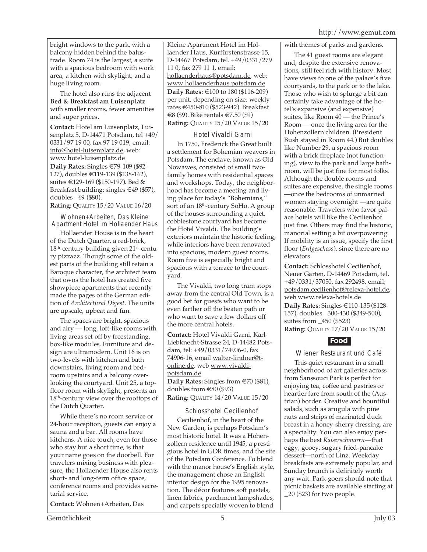bright windows to the park, with a balcony hidden behind the balustrade. Room 74 is the largest, a suite with a spacious bedroom with work area, a kitchen with skylight, and a huge living room.

The hotel also runs the adjacent **Bed & Breakfast am Luisenplatz** with smaller rooms, fewer amenities and super prices.

**Contact:** Hotel am Luisenplatz, Luisenplatz 5, D-14471 Potsdam, tel +49/ 0331/97 19 00, fax 97 19 019, email: info@hotel-luisenplatz.de, web: www.hotel-luisenplatz.de **Daily Rates:** Singles €79-109 (\$92- 127), doubles €119-139 (\$138-162), suites €129-169 (\$150-197). Bed & Breakfast building: singles  $\in$  49 (\$57), doubles \_69 (\$80).

**Rating:** QUALITY 15/20 VALUE 16/20

Wohnen+Arbeiten, Das Kleine Apartment Hotel im Hollaender Haus

Hollaender House is in the heart of the Dutch Quarter, a red-brick, 18<sup>th</sup>-century building given 21<sup>st</sup>-century pizzazz. Though some of the oldest parts of the building still retain a Baroque character, the architect team that owns the hotel has created five showpiece apartments that recently made the pages of the German edition of *Architectural Digest*. The units are upscale, upbeat and fun.

The spaces are bright, spacious and airy — long, loft-like rooms with living areas set off by freestanding, box-like modules. Furniture and design are ultramodern. Unit 16 is on two-levels with kitchen and bath downstairs, living room and bedroom upstairs and a balcony overlooking the courtyard. Unit 25, a topfloor room with skylight, presents an 18<sup>th</sup>-century view over the rooftops of the Dutch Quarter.

While there's no room service or 24-hour reception, guests can enjoy a sauna and a bar. All rooms have kitchens. A nice touch, even for those who stay but a short time, is that your name goes on the doorbell. For travelers mixing business with pleasure, the Hollaender House also rents short- and long-term office space, conference rooms and provides secretarial service.

**Contact:** Wohnen+Arbeiten, Das

Kleine Apartment Hotel im Hollaender Haus, Kurfürstenstrasse 15, D-14467 Potsdam, tel. +49/0331/279 11 0, fax 279 11 1, email: hollaenderhaus@potsdam.de, web: www.hollaenderhaus.potsdam.de **Daily Rates:** €100 to 180 (\$116-209) per unit, depending on size; weekly rates €450-810 (\$523-942). Breakfast €8 (\$9). Bike rentals €7.50 (\$9) **Rating:** QUALITY 15/20 VALUE 15/20

# Hotel Vivaldi Garni

In 1750, Frederick the Great built a settlement for Bohemian weavers in Potsdam. The enclave, known as Old Nowawes, consisted of small twofamily homes with residential spaces and workshops. Today, the neighborhood has become a meeting and living place for today's "Bohemians," sort of an 18<sup>th</sup>-century SoHo. A group of the houses surrounding a quiet, cobblestone courtyard has become the Hotel Vivaldi. The building's exteriors maintain the historic feeling, while interiors have been renovated into spacious, modern guest rooms. Room five is especially bright and spacious with a terrace to the courtyard.

The Vivaldi, two long tram stops away from the central Old Town, is a good bet for guests who want to be even farther off the beaten path or who want to save a few dollars off the more central hotels.

**Contact:** Hotel Vivaldi Garni, Karl-Liebknecht-Strasse 24, D-14482 Potsdam, tel: +49/0331/74906-0, fax 74906-16, email walter-lindner@tonline.de, web www.vivaldipotsdam.de

**Daily Rates:** Singles from €70 (\$81), doubles from €80 (\$93) **Rating:** QUALITY 14/20 VALUE 15/20

# Schlosshotel Cecilienhof

Cecilienhof, in the heart of the New Garden, is perhaps Potsdam's most historic hotel. It was a Hohenzollern residence until 1945, a prestigious hotel in GDR times, and the site of the Potsdam Conference. To blend with the manor house's English style, the management chose an English interior design for the 1995 renovation. The décor features soft pastels, linen fabrics, parchment lampshades, and carpets specially woven to blend

# with themes of parks and gardens.

The 41 guest rooms are elegant and, despite the extensive renovations, still feel rich with history. Most have views to one of the palace's five courtyards, to the park or to the lake. Those who wish to splurge a bit can certainly take advantage of the hotel's expansive (and expensive) suites, like Room 40 — the Prince's Room — once the living area for the Hohenzollern children. (President Bush stayed in Room 44.) But doubles like Number 29, a spacious room with a brick fireplace (not functioning), view to the park and large bathroom, will be just fine for most folks. Although the double rooms and suites are expensive, the single rooms

—once the bedrooms of unmarried women staying overnight —are quite reasonable. Travelers who favor palace hotels will like the Cecilienhof just fine. Others may find the historic, manorial setting a bit overpowering. If mobility is an issue, specify the first floor (*Erdgeschoss*), since there are no elevators.

**Contact:** Schlosshotel Cecilienhof, Neuer Garten, D-14469 Potsdam, tel. +49/0331/37050, fax 292498, email; potsdam.cecilienhof@relexa-hotel.de, web www.relexa-hotels.de **Daily Rates:** Singles €110-135 (\$128- 157), doubles \_300-430 (\$349-500), suites from \_450 (\$523) **Rating:** QUALITY 17/20 VALUE 15/20

# **Food**

Wiener Restaurant und Café This quiet restaurant in a small neighborhood of art galleries across from Sanssouci Park is perfect for enjoying tea, coffee and pastries or heartier fare from south of the (Austrian) border. Creative and bountiful salads, such as arugula with pine nuts and strips of marinated duck breast in a honey-sherry dressing, are a speciality. You can also enjoy perhaps the best *Kaiserschmarrn*—that eggy, gooey, sugary fried-pancake dessert—north of Linz. Weekday breakfasts are extremely popular, and Sunday brunch is definitely worth any wait. Park-goers should note that picnic baskets are available starting at \_20 (\$23) for two people.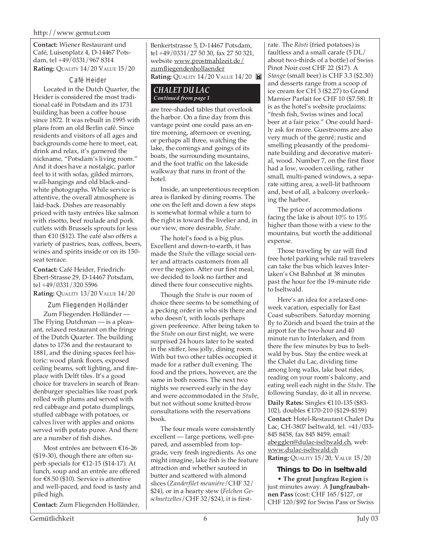**Contact:** Wiener Restaurant und Café, Luisenplatz 4, D-14467 Potsdam, tel +49/0331/967 8314 **Rating:** QUALITY 14/20 VALUE 15/20

## Café Heider

Located in the Dutch Quarter, the Heider is considered the most traditional café in Potsdam and its 1731 building has been a coffee house since 1872. It was rebuilt in 1995 with plans from an old Berlin café. Since residents and visitors of all ages and backgrounds come here to meet, eat, drink and relax, it's garnered the nickname, "Potsdam's living room." And it does have a nostalgic, parlor feel to it with sofas, gilded mirrors, wall-hangings and old black-andwhite photographs. While service is attentive, the overall atmosphere is laid-back. Dishes are reasonably priced with tasty entrées like salmon with risotto, beef roulade and pork cutlets with Brussels sprouts for less than €10 (\$12). The café also offers a variety of pastries, teas, coffees, beers, wines and spirits inside or on its 150 seat terrace.

**Contact:** Café Heider, Friedrich-Ebert-Strasse 29, D-14467 Potsdam, tel +49/0331/320 5596

**Rating:** QUALITY 13/20 VALUE 14/20

Zum Fliegenden Holländer Zum Fliegenden Holländer — The Flying Dutchman — is a pleasant, relaxed restaurant on the fringe of the Dutch Quarter. The building dates to 1736 and the restaurant to 1881, and the dining spaces feel historic: wood plank floors, exposed ceiling beams, soft lighting, and fireplace with Delft tiles. It's a good choice for travelers in search of Brandenburger specialties like roast pork rolled with plums and served with red cabbage and potato dumplings, stuffed cabbage with potatoes, or calves liver with apples and onions served with potato puree. And there are a number of fish dishes.

Most entrées are between €16-26 (\$19-30), though there are often superb specials for €12-15 (\$14-17). At lunch, soup and an entrée are offered for €8.50 (\$10). Service is attentive and well-paced, and food is tasty and piled high.

**Contact:** Zum Fliegenden Holländer,

Benkertstrasse 5, D-14467 Potsdam, tel +49/0331/27 50 30, fax 27 50 321, website www.prostmahlzeit.de/ zumfliegendenhollaender **Rating:** QUALITY 14/20 VALUE 14/20 **M** 

#### *CHALET DU LAC Continued from page 1*

are tree-shaded tables that overlook the harbor. On a fine day from this vantage point one could pass an entire morning, afternoon or evening, or perhaps all three, watching the lake, the comings and goings of its boats, the surrounding mountains, and the foot traffic on the lakeside walkway that runs in front of the hotel.

Inside, an unpretentious reception area is flanked by dining rooms. The one on the left and down a few steps is somewhat formal while a turn to the right is toward the livelier and, in our view, more desirable, *Stube*.

The hotel's food is a big plus. Excellent and down-to-earth, it has made the *Stube* the village social center and attracts customers from all over the region. After our first meal, we decided to look no farther and dined there four consecutive nights.

Though the *Stube* is our room of choice there seems to be something of a pecking order in who sits there and who doesn't, with locals perhaps given preference. After being taken to the *Stube* on our first night, we were surprised 24 hours later to be seated in the stiffer, less jolly, dining room. With but two other tables occupied it made for a rather dull evening. The food and the prices, however, are the same in both rooms. The next two nights we reserved early in the day and were accommodated in the *Stube*, but not without some knitted-brow consultations with the reservations book.

The four meals were consistently excellent — large portions, well-prepared, and assembled from topgrade, very fresh ingredients. As one might imagine, lake fish is the feature attraction and whether sauteed in butter and scattered with almond slices (*Zanderfilet meuniére*/CHF 32/ \$24), or in a hearty stew (*Felchen Geschnetzeltes*/CHF 32/\$24), it is firstrate. The *Rösti* (fried potatoes) is faultless and a small carafe (5 DL/ about two-thirds of a bottle) of Swiss Pinot Noir cost CHF 22 (\$17). A *Stange* (small beer) is CHF 3.3 (\$2.30) and desserts range from a scoop of ice cream for CH 3 (\$2.27) to Grand Marnier Parfait for CHF 10 (\$7.58). It is as the hotel's website proclaims: "fresh fish, Swiss wines and local beer at a fair price." One could hardly ask for more. Guestrooms are also very much of the genré; rustic and smelling pleasantly of the predominate building and decorative material, wood. Number 7, on the first floor had a low, wooden ceiling, rather small, multi-paned windows, a separate sitting area, a well-lit bathroom and, best of all, a balcony overlooking the harbor.

The price of accommodations facing the lake is about 10% to 15% higher than those with a view to the mountains, but worth the additional expense.

Those traveling by car will find free hotel parking while rail travelers can take the bus which leaves Interlaken's Ost Bahnhof at 38 minutes past the hour for the 19-minute ride to Iseltwald.

Here's an idea for a relaxed oneweek vacation, especially for East Coast subscribers. Saturday morning fly to Zürich and board the train at the airport for the two-hour and 40 minute run to Interlaken, and from there the few minutes by bus to Iseltwald by bus. Stay the entire week at the Chalet du Lac, dividing time among long walks, lake boat rides, reading on your room's balcony, and eating well each night in the *Stube*. The following Sunday, do it all in reverse.

**Daily Rates:** Singles €110-135 (\$83- 102), doubles €170-210 (\$129-\$159) **Contact:** Hotel-Restaurant Chalet Du Lac, CH-3807 Iseltwald, tel. +41/033- 845 8458, fax 845 8459, email: abegglen@dulac-iseltwald.ch, web: www.dulac-iseltwald.ch **Rating:** QUALITY 15/20, VALUE 15/20

# **Things to Do in Iseltwald**

• **The great Jungfrau Region** is just minutes away. A **Jungfraubahnen Pass** (cost: CHF 165/\$127, or CHF 120/\$92 for Swiss Pass or Swiss

Gemütlichkeit 6 July 03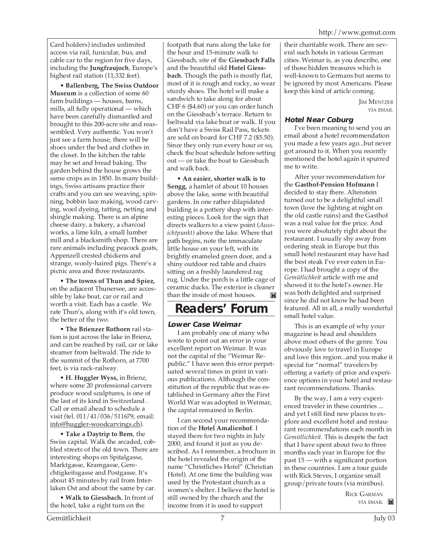Card holders) includes unlimited access via rail, funicular, bus, and cable car to the region for five days, including the **Jungfraujoch**, Europe's highest rail station (11,332 feet).

• **Ballenberg, The Swiss Outdoor Museum** is a collection of some 60 farm buildings — houses, barns, mills, all fully operational — which have been carefully dismantled and brought to this 200-acre site and reassembled. Very authentic. You won't just see a farm house, there will be shoes under the bed and clothes in the closet. In the kitchen the table may be set and bread baking. The garden behind the house grows the same crops as in 1850. In many buildings, Swiss artisans practice their crafts and you can see weaving, spinning, bobbin lace making, wood carving, wool dyeing, tatting, netting and shingle making. There is an alpine cheese dairy, a bakery, a charcoal works, a lime kiln, a small lumber mill and a blacksmith shop. There are rare animals including peacock goats, Appenzell crested chickens and strange, wooly-haired pigs. There's a picnic area and three restaurants.

• **The towns of Thun and Spiez,** on the adjacent Thunersee, are accessible by lake boat, car or rail and worth a visit. Each has a castle. We rate Thun's, along with it's old town, the better of the two.

• **The Brienzer Rothorn** rail station is just across the lake in Brienz, and can be reached by rail, car or lake steamer from Iseltwald. The ride to the summit of the Rothorn, at 7700 feet, is via rack-railway.

• **H. Huggler Wyss,** in Brienz, where some 20 professional carvers produce wood sculptures, is one of the last of its kind in Switzerland . Call or email ahead to schedule a visit (tel. 011/41/036/511679, email: info@huggler-woodcarvings.ch).

• **Take a Daytrip to Bern**, the Swiss capital. Walk the arcaded, cobbled streets of the old town. There are interesting shops on Spitalgasse, Marktgasse, Kramgasse, Gerechtigkeitsgasse and Postgasse. It's about 45 minutes by rail from Interlaken Ost and about the same by car.

• **Walk to Giessbach.** In front of the hotel, take a right turn on the

footpath that runs along the lake for the hour and 15-minute walk to Giessbach, site of the **Giessbach Falls** and the beautiful old **Hotel Giessbach**. Though the path is mostly flat, most of it is rough and rocky, so wear sturdy shoes. The hotel will make a sandwich to take along for about CHF 6 (\$4.60) or you can order lunch on the Giessbach's terrace. Return to Iseltwald via lake boat or walk. If you don't have a Swiss Rail Pass, tickets are sold on board for CHF 7.2 (\$5.50). Since they only run every hour or so, check the boat schedule before setting out — or take the boat to Giessbach and walk back.

• **An easier, shorter walk is to Sengg**, a hamlet of about 10 houses above the lake, some with beautiful gardens. In one rather dilapidated building is a pottery shop with interesting pieces. Look for the sign that directs walkers to a view point (*Aussichtpunkt)* above the lake. Where that path begins, note the immaculate little house on your left, with its brightly enameled green door, and a shiny outdoor red table and chairs sitting on a freshly laundered rag rug. Under the porch is a little cage of ceramic ducks. The exterior is cleaner than the inside of most houses. M

# **Readers' Forum**

# **Lower Case Weimar**

I am probably one of many who wrote to point out an error in your excellent report on Weimar. It was not the capital of the "Weimar Republic." I have seen this error perpetuated several times in print in various publications. Although the constitution of the republic that was established in Germany after the First World War was adopted in Weimar, the capital remained in Berlin.

I can second your recommendation of the **Hotel Amalienhof**. I stayed there for two nights in July 2000, and found it just as you described. As I remember, a brochure in the hotel revealed the origin of the name "Christliches Hotel" (Christian Hotel). At one time the building was used by the Protestant church as a women's shelter. I believe the hotel is still owned by the church and the income from it is used to support

their charitable work. There are several such hotels in various German cities. Weimar is, as you describe, one of those hidden treasures which is well-known to Germans but seems to be ignored by most Americans. Please keep this kind of article coming.

> **JIM MENTZER** VIA EMAIL

# **Hotel Near Coburg**

I've been meaning to send you an email about a hotel recommendation you made a few years ago...but never got around to it. When you recently mentioned the hotel again it spurred me to write.

After your recommendation for the **Gasthof-Pension Hofmann** I decided to stay there. Altenstein turned out to be a delightful small town (love the lighting at night on the old castle ruins) and the Gasthof was a real value for the price. And you were absolutely right about the restaurant. I usually shy away from ordering steak in Europe but this small hotel restaurant may have had the best steak I've ever eaten in Europe. I had brought a copy of the *Gemütlichkeit* article with me and showed it to the hotel's owner. He was both delighted and surprised since he did not know he had been featured. All in all, a really wonderful small hotel value.

This is an example of why your magazine is head and shoulders above most others of the genre. You obviously love to travel in Europe and love this region...and you make it special for "normal" travelers by offering a variety of price and experience options in your hotel and restaurant recommendations. Thanks.

By the way, I am a very experienced traveler in these countries ... and yet I still find new places to explore and excellent hotel and restaurant recommendations each month in *Gemütlichkeit*. This is despite the fact that I have spent about two to three months each year in Europe for the past 15 — with a significant portion in these countries. I am a tour guide with Rick Steves, I organize small group/private tours (via minibus).

> RICK GARMAN VIA EMAIL